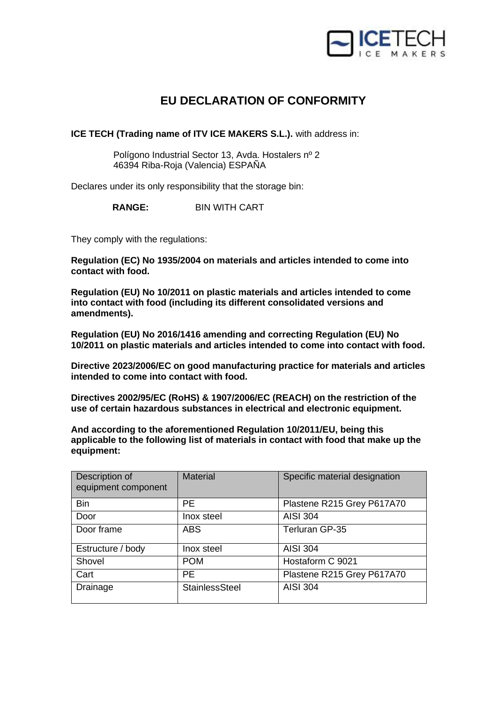

## **EU DECLARATION OF CONFORMITY**

**ICE TECH (Trading name of ITV ICE MAKERS S.L.).** with address in:

 Polígono Industrial Sector 13, Avda. Hostalers nº 2 46394 Riba-Roja (Valencia) ESPAÑA

Declares under its only responsibility that the storage bin:

**RANGE:** BIN WITH CART

They comply with the regulations:

**Regulation (EC) No 1935/2004 on materials and articles intended to come into contact with food.**

**Regulation (EU) No 10/2011 on plastic materials and articles intended to come into contact with food (including its different consolidated versions and amendments).**

**Regulation (EU) No 2016/1416 amending and correcting Regulation (EU) No 10/2011 on plastic materials and articles intended to come into contact with food.**

**Directive 2023/2006/EC on good manufacturing practice for materials and articles intended to come into contact with food.**

**Directives 2002/95/EC (RoHS) & 1907/2006/EC (REACH) on the restriction of the use of certain hazardous substances in electrical and electronic equipment.**

**And according to the aforementioned Regulation 10/2011/EU, being this applicable to the following list of materials in contact with food that make up the equipment:**

| Description of<br>equipment component | <b>Material</b> | Specific material designation |
|---------------------------------------|-----------------|-------------------------------|
| <b>Bin</b>                            | <b>PE</b>       | Plastene R215 Grey P617A70    |
| Door                                  | Inox steel      | <b>AISI 304</b>               |
| Door frame                            | <b>ABS</b>      | Terluran GP-35                |
| Estructure / body                     | Inox steel      | <b>AISI 304</b>               |
| Shovel                                | <b>POM</b>      | Hostaform C 9021              |
| Cart                                  | <b>PE</b>       | Plastene R215 Grey P617A70    |
| Drainage                              | StainlessSteel  | <b>AISI 304</b>               |